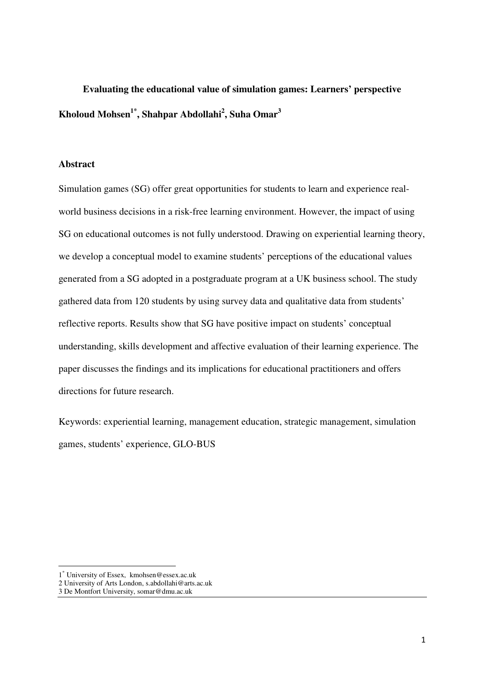# **Evaluating the educational value of simulation games: Learners' perspective Kholoud Mohsen1\*, Shahpar Abdollahi<sup>2</sup> , Suha Omar<sup>3</sup>**

#### **Abstract**

Simulation games (SG) offer great opportunities for students to learn and experience realworld business decisions in a risk-free learning environment. However, the impact of using SG on educational outcomes is not fully understood. Drawing on experiential learning theory, we develop a conceptual model to examine students' perceptions of the educational values generated from a SG adopted in a postgraduate program at a UK business school. The study gathered data from 120 students by using survey data and qualitative data from students' reflective reports. Results show that SG have positive impact on students' conceptual understanding, skills development and affective evaluation of their learning experience. The paper discusses the findings and its implications for educational practitioners and offers directions for future research.

Keywords: experiential learning, management education, strategic management, simulation games, students' experience, GLO-BUS

 $\overline{a}$ 

<sup>1</sup> \* University of Essex, kmohsen@essex.ac.uk

<sup>2</sup> University of Arts London, s.abdollahi@arts.ac.uk

<sup>3</sup> De Montfort University, somar@dmu.ac.uk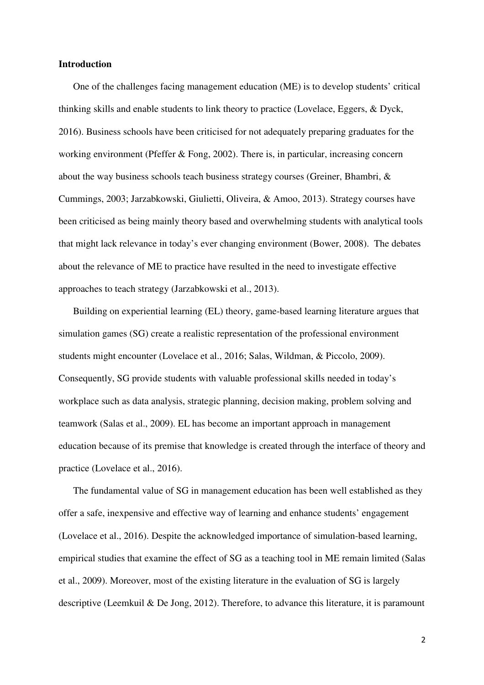#### **Introduction**

One of the challenges facing management education (ME) is to develop students' critical thinking skills and enable students to link theory to practice (Lovelace, Eggers, & Dyck, 2016). Business schools have been criticised for not adequately preparing graduates for the working environment (Pfeffer & Fong, 2002). There is, in particular, increasing concern about the way business schools teach business strategy courses (Greiner, Bhambri, & Cummings, 2003; Jarzabkowski, Giulietti, Oliveira, & Amoo, 2013). Strategy courses have been criticised as being mainly theory based and overwhelming students with analytical tools that might lack relevance in today's ever changing environment (Bower, 2008). The debates about the relevance of ME to practice have resulted in the need to investigate effective approaches to teach strategy (Jarzabkowski et al., 2013).

Building on experiential learning (EL) theory, game-based learning literature argues that simulation games (SG) create a realistic representation of the professional environment students might encounter (Lovelace et al., 2016; Salas, Wildman, & Piccolo, 2009). Consequently, SG provide students with valuable professional skills needed in today's workplace such as data analysis, strategic planning, decision making, problem solving and teamwork (Salas et al., 2009). EL has become an important approach in management education because of its premise that knowledge is created through the interface of theory and practice (Lovelace et al., 2016).

The fundamental value of SG in management education has been well established as they offer a safe, inexpensive and effective way of learning and enhance students' engagement (Lovelace et al., 2016). Despite the acknowledged importance of simulation-based learning, empirical studies that examine the effect of SG as a teaching tool in ME remain limited (Salas et al., 2009). Moreover, most of the existing literature in the evaluation of SG is largely descriptive (Leemkuil & De Jong, 2012). Therefore, to advance this literature, it is paramount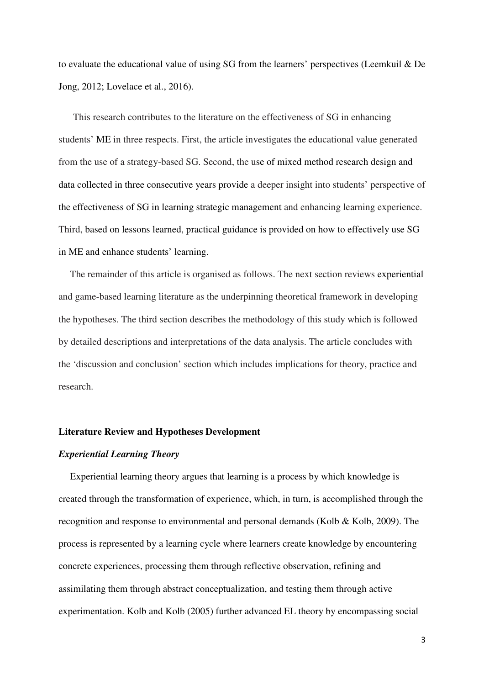to evaluate the educational value of using SG from the learners' perspectives (Leemkuil & De Jong, 2012; Lovelace et al., 2016).

This research contributes to the literature on the effectiveness of SG in enhancing students' ME in three respects. First, the article investigates the educational value generated from the use of a strategy-based SG. Second, the use of mixed method research design and data collected in three consecutive years provide a deeper insight into students' perspective of the effectiveness of SG in learning strategic management and enhancing learning experience. Third, based on lessons learned, practical guidance is provided on how to effectively use SG in ME and enhance students' learning.

The remainder of this article is organised as follows. The next section reviews experiential and game-based learning literature as the underpinning theoretical framework in developing the hypotheses. The third section describes the methodology of this study which is followed by detailed descriptions and interpretations of the data analysis. The article concludes with the 'discussion and conclusion' section which includes implications for theory, practice and research.

#### **Literature Review and Hypotheses Development**

#### *Experiential Learning Theory*

Experiential learning theory argues that learning is a process by which knowledge is created through the transformation of experience, which, in turn, is accomplished through the recognition and response to environmental and personal demands (Kolb & Kolb, 2009). The process is represented by a learning cycle where learners create knowledge by encountering concrete experiences, processing them through reflective observation, refining and assimilating them through abstract conceptualization, and testing them through active experimentation. Kolb and Kolb (2005) further advanced EL theory by encompassing social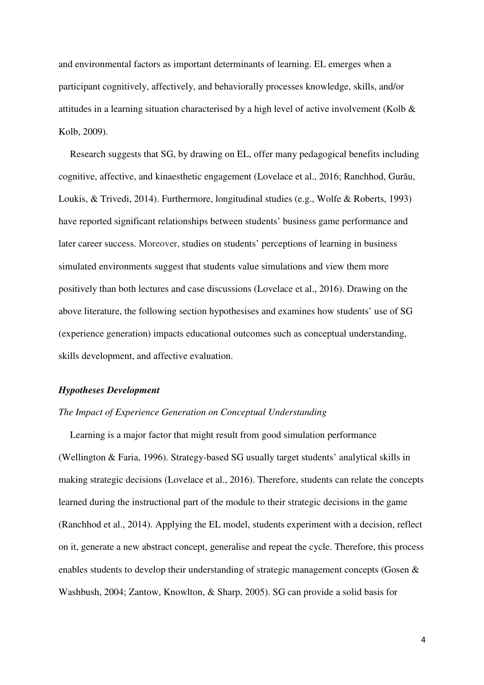and environmental factors as important determinants of learning. EL emerges when a participant cognitively, affectively, and behaviorally processes knowledge, skills, and/or attitudes in a learning situation characterised by a high level of active involvement (Kolb & Kolb, 2009).

Research suggests that SG, by drawing on EL, offer many pedagogical benefits including cognitive, affective, and kinaesthetic engagement (Lovelace et al., 2016; Ranchhod, Gurău, Loukis, & Trivedi, 2014). Furthermore, longitudinal studies (e.g., Wolfe & Roberts, 1993) have reported significant relationships between students' business game performance and later career success. Moreover, studies on students' perceptions of learning in business simulated environments suggest that students value simulations and view them more positively than both lectures and case discussions (Lovelace et al., 2016). Drawing on the above literature, the following section hypothesises and examines how students' use of SG (experience generation) impacts educational outcomes such as conceptual understanding, skills development, and affective evaluation.

#### *Hypotheses Development*

#### *The Impact of Experience Generation on Conceptual Understanding*

Learning is a major factor that might result from good simulation performance (Wellington & Faria, 1996). Strategy-based SG usually target students' analytical skills in making strategic decisions (Lovelace et al., 2016). Therefore, students can relate the concepts learned during the instructional part of the module to their strategic decisions in the game (Ranchhod et al., 2014). Applying the EL model, students experiment with a decision, reflect on it, generate a new abstract concept, generalise and repeat the cycle. Therefore, this process enables students to develop their understanding of strategic management concepts (Gosen & Washbush, 2004; Zantow, Knowlton, & Sharp, 2005). SG can provide a solid basis for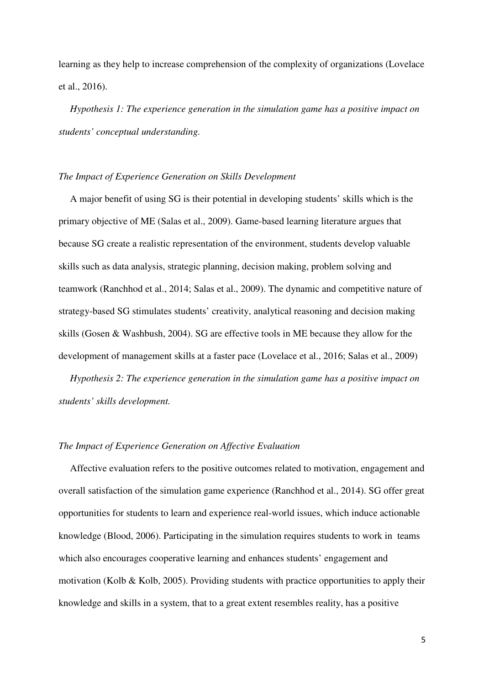learning as they help to increase comprehension of the complexity of organizations (Lovelace et al., 2016).

*Hypothesis 1: The experience generation in the simulation game has a positive impact on students' conceptual understanding.* 

#### *The Impact of Experience Generation on Skills Development*

A major benefit of using SG is their potential in developing students' skills which is the primary objective of ME (Salas et al., 2009). Game-based learning literature argues that because SG create a realistic representation of the environment, students develop valuable skills such as data analysis, strategic planning, decision making, problem solving and teamwork (Ranchhod et al., 2014; Salas et al., 2009). The dynamic and competitive nature of strategy-based SG stimulates students' creativity, analytical reasoning and decision making skills (Gosen & Washbush, 2004). SG are effective tools in ME because they allow for the development of management skills at a faster pace (Lovelace et al., 2016; Salas et al., 2009)

*Hypothesis 2: The experience generation in the simulation game has a positive impact on students' skills development.* 

#### *The Impact of Experience Generation on Affective Evaluation*

Affective evaluation refers to the positive outcomes related to motivation, engagement and overall satisfaction of the simulation game experience (Ranchhod et al., 2014). SG offer great opportunities for students to learn and experience real-world issues, which induce actionable knowledge (Blood, 2006). Participating in the simulation requires students to work in teams which also encourages cooperative learning and enhances students' engagement and motivation (Kolb & Kolb, 2005). Providing students with practice opportunities to apply their knowledge and skills in a system, that to a great extent resembles reality, has a positive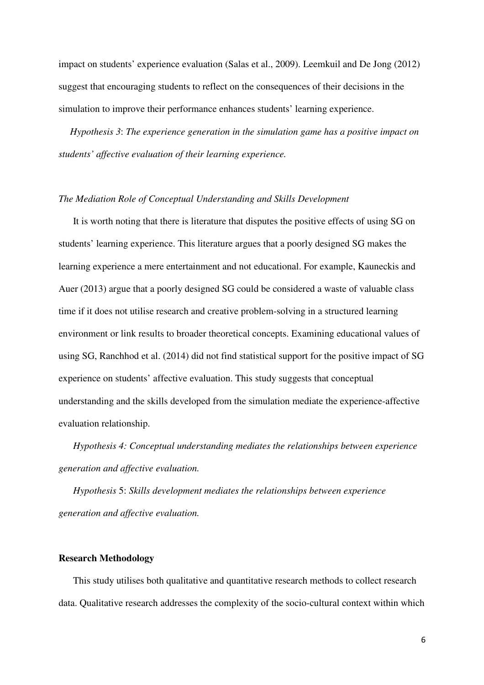impact on students' experience evaluation (Salas et al., 2009). Leemkuil and De Jong (2012) suggest that encouraging students to reflect on the consequences of their decisions in the simulation to improve their performance enhances students' learning experience.

*Hypothesis 3*: *The experience generation in the simulation game has a positive impact on students' affective evaluation of their learning experience.*

#### *The Mediation Role of Conceptual Understanding and Skills Development*

It is worth noting that there is literature that disputes the positive effects of using SG on students' learning experience. This literature argues that a poorly designed SG makes the learning experience a mere entertainment and not educational. For example, Kauneckis and Auer (2013) argue that a poorly designed SG could be considered a waste of valuable class time if it does not utilise research and creative problem-solving in a structured learning environment or link results to broader theoretical concepts. Examining educational values of using SG, Ranchhod et al. (2014) did not find statistical support for the positive impact of SG experience on students' affective evaluation. This study suggests that conceptual understanding and the skills developed from the simulation mediate the experience-affective evaluation relationship.

*Hypothesis 4: Conceptual understanding mediates the relationships between experience generation and affective evaluation.* 

*Hypothesis* 5: *Skills development mediates the relationships between experience generation and affective evaluation.* 

#### **Research Methodology**

This study utilises both qualitative and quantitative research methods to collect research data. Qualitative research addresses the complexity of the socio-cultural context within which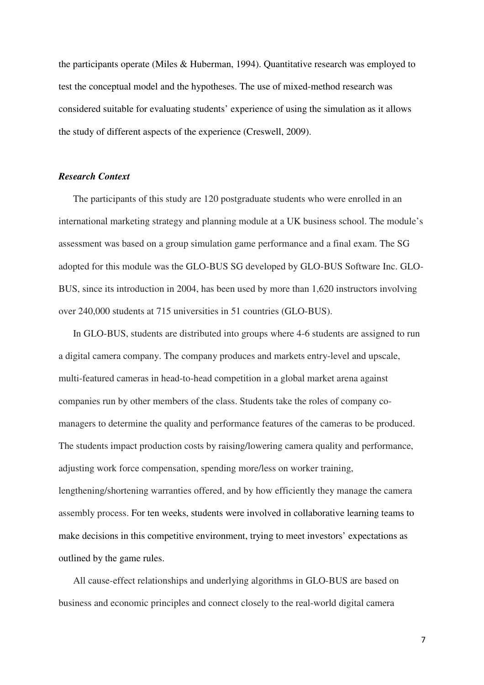the participants operate (Miles & Huberman, 1994). Quantitative research was employed to test the conceptual model and the hypotheses. The use of mixed-method research was considered suitable for evaluating students' experience of using the simulation as it allows the study of different aspects of the experience (Creswell, 2009).

#### *Research Context*

The participants of this study are 120 postgraduate students who were enrolled in an international marketing strategy and planning module at a UK business school. The module's assessment was based on a group simulation game performance and a final exam. The SG adopted for this module was the GLO-BUS SG developed by GLO-BUS Software Inc. GLO-BUS, since its introduction in 2004, has been used by more than 1,620 instructors involving over 240,000 students at 715 universities in 51 countries (GLO-BUS).

In GLO-BUS, students are distributed into groups where 4-6 students are assigned to run a digital camera company. The company produces and markets entry-level and upscale, multi-featured cameras in head-to-head competition in a global market arena against companies run by other members of the class. Students take the roles of company comanagers to determine the quality and performance features of the cameras to be produced. The students impact production costs by raising/lowering camera quality and performance, adjusting work force compensation, spending more/less on worker training, lengthening/shortening warranties offered, and by how efficiently they manage the camera assembly process. For ten weeks, students were involved in collaborative learning teams to make decisions in this competitive environment, trying to meet investors' expectations as outlined by the game rules.

All cause-effect relationships and underlying algorithms in GLO-BUS are based on business and economic principles and connect closely to the real-world digital camera

7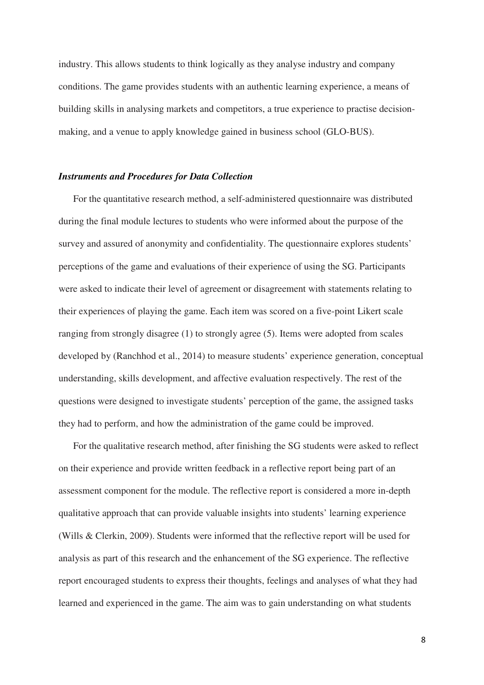industry. This allows students to think logically as they analyse industry and company conditions. The game provides students with an authentic learning experience, a means of building skills in analysing markets and competitors, a true experience to practise decisionmaking, and a venue to apply knowledge gained in business school (GLO-BUS).

#### *Instruments and Procedures for Data Collection*

For the quantitative research method, a self-administered questionnaire was distributed during the final module lectures to students who were informed about the purpose of the survey and assured of anonymity and confidentiality. The questionnaire explores students' perceptions of the game and evaluations of their experience of using the SG. Participants were asked to indicate their level of agreement or disagreement with statements relating to their experiences of playing the game. Each item was scored on a five-point Likert scale ranging from strongly disagree (1) to strongly agree (5). Items were adopted from scales developed by (Ranchhod et al., 2014) to measure students' experience generation, conceptual understanding, skills development, and affective evaluation respectively. The rest of the questions were designed to investigate students' perception of the game, the assigned tasks they had to perform, and how the administration of the game could be improved.

For the qualitative research method, after finishing the SG students were asked to reflect on their experience and provide written feedback in a reflective report being part of an assessment component for the module. The reflective report is considered a more in-depth qualitative approach that can provide valuable insights into students' learning experience (Wills & Clerkin, 2009). Students were informed that the reflective report will be used for analysis as part of this research and the enhancement of the SG experience. The reflective report encouraged students to express their thoughts, feelings and analyses of what they had learned and experienced in the game. The aim was to gain understanding on what students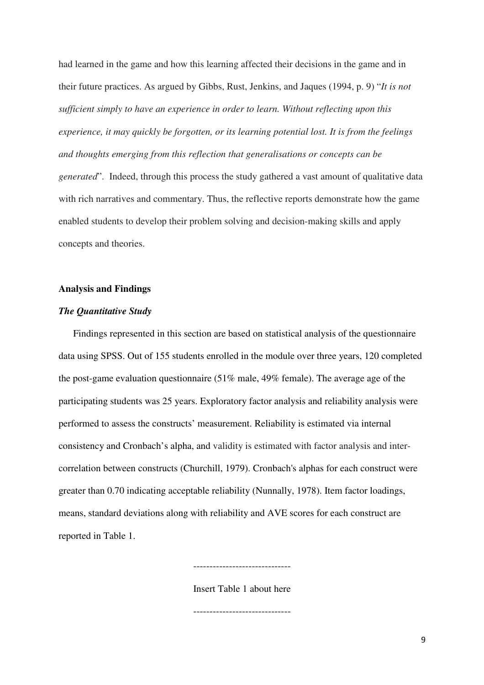had learned in the game and how this learning affected their decisions in the game and in their future practices. As argued by Gibbs, Rust, Jenkins, and Jaques (1994, p. 9) "*It is not sufficient simply to have an experience in order to learn. Without reflecting upon this experience, it may quickly be forgotten, or its learning potential lost. It is from the feelings and thoughts emerging from this reflection that generalisations or concepts can be generated*". Indeed, through this process the study gathered a vast amount of qualitative data with rich narratives and commentary. Thus, the reflective reports demonstrate how the game enabled students to develop their problem solving and decision-making skills and apply concepts and theories.

#### **Analysis and Findings**

### *The Quantitative Study*

Findings represented in this section are based on statistical analysis of the questionnaire data using SPSS. Out of 155 students enrolled in the module over three years, 120 completed the post-game evaluation questionnaire (51% male, 49% female). The average age of the participating students was 25 years. Exploratory factor analysis and reliability analysis were performed to assess the constructs' measurement. Reliability is estimated via internal consistency and Cronbach's alpha, and validity is estimated with factor analysis and intercorrelation between constructs (Churchill, 1979). Cronbach's alphas for each construct were greater than 0.70 indicating acceptable reliability (Nunnally, 1978). Item factor loadings, means, standard deviations along with reliability and AVE scores for each construct are reported in Table 1.

Insert Table 1 about here

------------------------------

------------------------------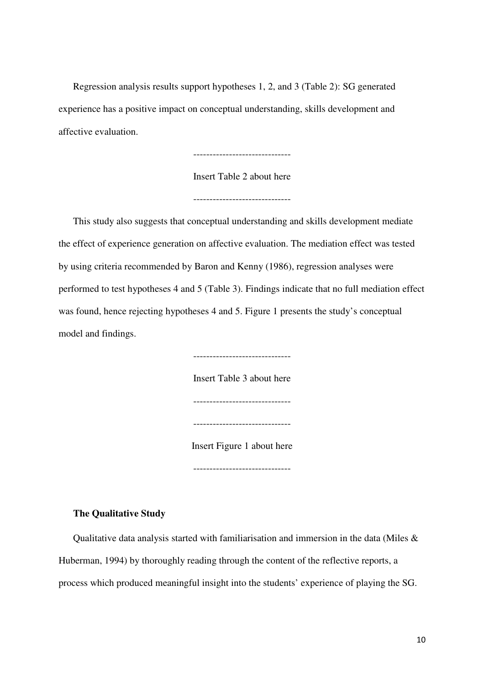Regression analysis results support hypotheses 1, 2, and 3 (Table 2): SG generated experience has a positive impact on conceptual understanding, skills development and affective evaluation.

------------------------------

Insert Table 2 about here

------------------------------

This study also suggests that conceptual understanding and skills development mediate the effect of experience generation on affective evaluation. The mediation effect was tested by using criteria recommended by Baron and Kenny (1986), regression analyses were performed to test hypotheses 4 and 5 (Table 3). Findings indicate that no full mediation effect was found, hence rejecting hypotheses 4 and 5. Figure 1 presents the study's conceptual model and findings.

> ------------------------------ Insert Table 3 about here ------------------------------ ------------------------------ Insert Figure 1 about here ------------------------------

#### **The Qualitative Study**

Qualitative data analysis started with familiarisation and immersion in the data (Miles & Huberman, 1994) by thoroughly reading through the content of the reflective reports, a process which produced meaningful insight into the students' experience of playing the SG.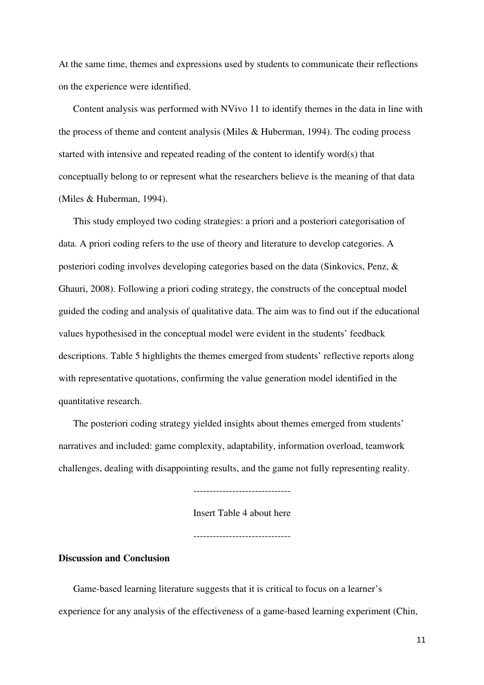At the same time, themes and expressions used by students to communicate their reflections on the experience were identified.

Content analysis was performed with NVivo 11 to identify themes in the data in line with the process of theme and content analysis (Miles & Huberman, 1994). The coding process started with intensive and repeated reading of the content to identify word(s) that conceptually belong to or represent what the researchers believe is the meaning of that data (Miles & Huberman, 1994).

This study employed two coding strategies: a priori and a posteriori categorisation of data. A priori coding refers to the use of theory and literature to develop categories. A posteriori coding involves developing categories based on the data (Sinkovics, Penz, & Ghauri, 2008). Following a priori coding strategy, the constructs of the conceptual model guided the coding and analysis of qualitative data. The aim was to find out if the educational values hypothesised in the conceptual model were evident in the students' feedback descriptions. Table 5 highlights the themes emerged from students' reflective reports along with representative quotations, confirming the value generation model identified in the quantitative research.

The posteriori coding strategy yielded insights about themes emerged from students' narratives and included: game complexity, adaptability, information overload, teamwork challenges, dealing with disappointing results, and the game not fully representing reality.

------------------------------

Insert Table 4 about here

------------------------------

## **Discussion and Conclusion**

Game-based learning literature suggests that it is critical to focus on a learner's experience for any analysis of the effectiveness of a game-based learning experiment (Chin,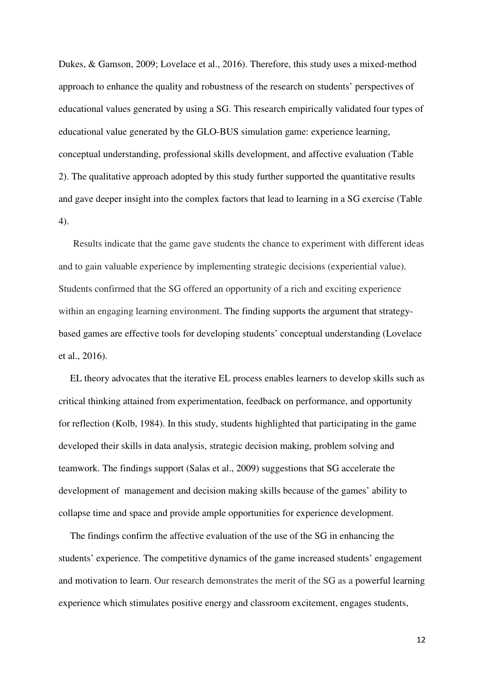Dukes, & Gamson, 2009; Lovelace et al., 2016). Therefore, this study uses a mixed-method approach to enhance the quality and robustness of the research on students' perspectives of educational values generated by using a SG. This research empirically validated four types of educational value generated by the GLO-BUS simulation game: experience learning, conceptual understanding, professional skills development, and affective evaluation (Table 2). The qualitative approach adopted by this study further supported the quantitative results and gave deeper insight into the complex factors that lead to learning in a SG exercise (Table 4).

Results indicate that the game gave students the chance to experiment with different ideas and to gain valuable experience by implementing strategic decisions (experiential value). Students confirmed that the SG offered an opportunity of a rich and exciting experience within an engaging learning environment. The finding supports the argument that strategybased games are effective tools for developing students' conceptual understanding (Lovelace et al., 2016).

EL theory advocates that the iterative EL process enables learners to develop skills such as critical thinking attained from experimentation, feedback on performance, and opportunity for reflection (Kolb, 1984). In this study, students highlighted that participating in the game developed their skills in data analysis, strategic decision making, problem solving and teamwork. The findings support (Salas et al., 2009) suggestions that SG accelerate the development of management and decision making skills because of the games' ability to collapse time and space and provide ample opportunities for experience development.

The findings confirm the affective evaluation of the use of the SG in enhancing the students' experience. The competitive dynamics of the game increased students' engagement and motivation to learn. Our research demonstrates the merit of the SG as a powerful learning experience which stimulates positive energy and classroom excitement, engages students,

12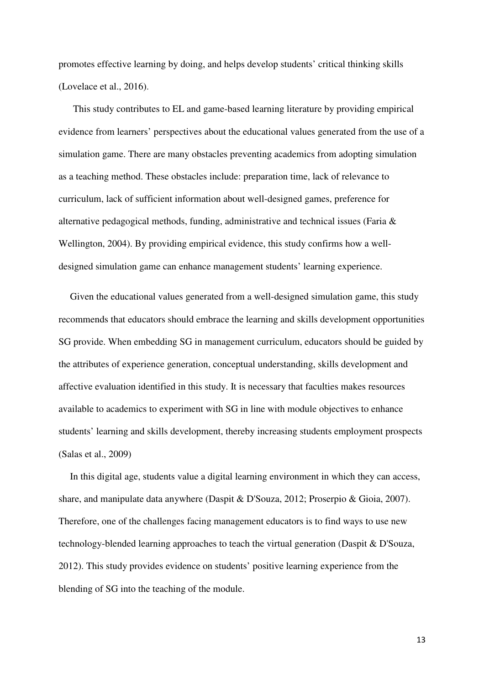promotes effective learning by doing, and helps develop students' critical thinking skills (Lovelace et al., 2016).

This study contributes to EL and game-based learning literature by providing empirical evidence from learners' perspectives about the educational values generated from the use of a simulation game. There are many obstacles preventing academics from adopting simulation as a teaching method. These obstacles include: preparation time, lack of relevance to curriculum, lack of sufficient information about well-designed games, preference for alternative pedagogical methods, funding, administrative and technical issues (Faria & Wellington, 2004). By providing empirical evidence, this study confirms how a welldesigned simulation game can enhance management students' learning experience.

Given the educational values generated from a well-designed simulation game, this study recommends that educators should embrace the learning and skills development opportunities SG provide. When embedding SG in management curriculum, educators should be guided by the attributes of experience generation, conceptual understanding, skills development and affective evaluation identified in this study. It is necessary that faculties makes resources available to academics to experiment with SG in line with module objectives to enhance students' learning and skills development, thereby increasing students employment prospects (Salas et al., 2009)

In this digital age, students value a digital learning environment in which they can access, share, and manipulate data anywhere (Daspit & D'Souza, 2012; Proserpio & Gioia, 2007). Therefore, one of the challenges facing management educators is to find ways to use new technology-blended learning approaches to teach the virtual generation (Daspit & D'Souza, 2012). This study provides evidence on students' positive learning experience from the blending of SG into the teaching of the module.

13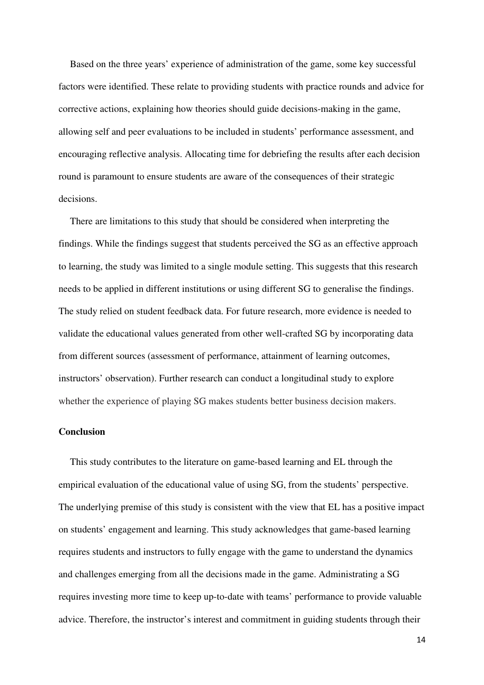Based on the three years' experience of administration of the game, some key successful factors were identified. These relate to providing students with practice rounds and advice for corrective actions, explaining how theories should guide decisions-making in the game, allowing self and peer evaluations to be included in students' performance assessment, and encouraging reflective analysis. Allocating time for debriefing the results after each decision round is paramount to ensure students are aware of the consequences of their strategic decisions.

There are limitations to this study that should be considered when interpreting the findings. While the findings suggest that students perceived the SG as an effective approach to learning, the study was limited to a single module setting. This suggests that this research needs to be applied in different institutions or using different SG to generalise the findings. The study relied on student feedback data. For future research, more evidence is needed to validate the educational values generated from other well-crafted SG by incorporating data from different sources (assessment of performance, attainment of learning outcomes, instructors' observation). Further research can conduct a longitudinal study to explore whether the experience of playing SG makes students better business decision makers.

#### **Conclusion**

This study contributes to the literature on game-based learning and EL through the empirical evaluation of the educational value of using SG, from the students' perspective. The underlying premise of this study is consistent with the view that EL has a positive impact on students' engagement and learning. This study acknowledges that game-based learning requires students and instructors to fully engage with the game to understand the dynamics and challenges emerging from all the decisions made in the game. Administrating a SG requires investing more time to keep up-to-date with teams' performance to provide valuable advice. Therefore, the instructor's interest and commitment in guiding students through their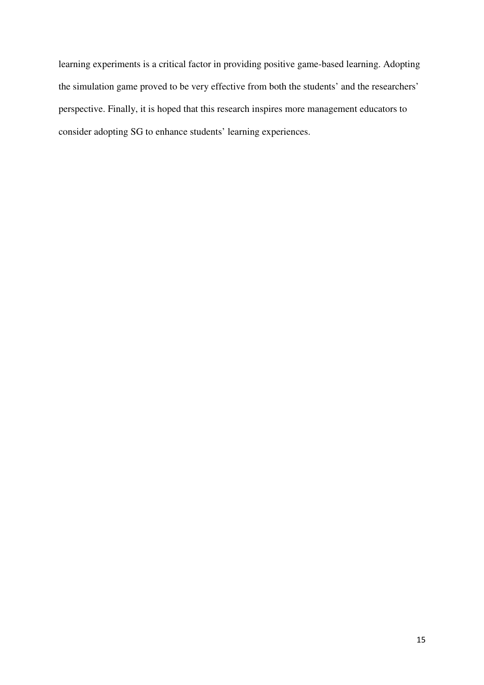learning experiments is a critical factor in providing positive game-based learning. Adopting the simulation game proved to be very effective from both the students' and the researchers' perspective. Finally, it is hoped that this research inspires more management educators to consider adopting SG to enhance students' learning experiences.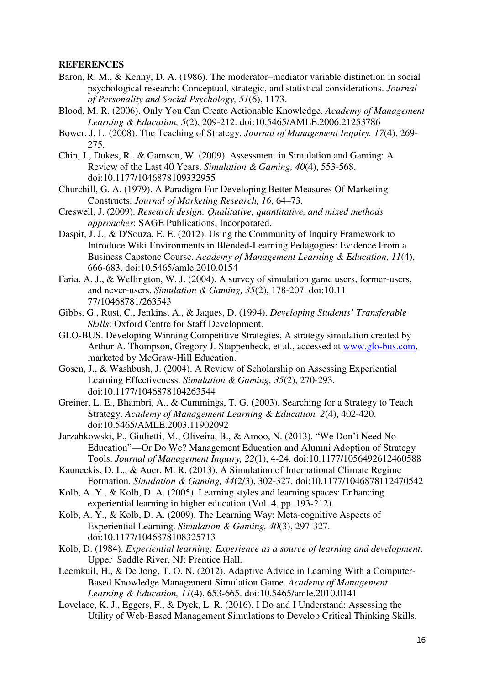#### **REFERENCES**

- Baron, R. M., & Kenny, D. A. (1986). The moderator–mediator variable distinction in social psychological research: Conceptual, strategic, and statistical considerations. *Journal of Personality and Social Psychology, 51*(6), 1173.
- Blood, M. R. (2006). Only You Can Create Actionable Knowledge. *Academy of Management Learning & Education, 5*(2), 209-212. doi:10.5465/AMLE.2006.21253786
- Bower, J. L. (2008). The Teaching of Strategy. *Journal of Management Inquiry, 17*(4), 269- 275.
- Chin, J., Dukes, R., & Gamson, W. (2009). Assessment in Simulation and Gaming: A Review of the Last 40 Years. *Simulation & Gaming, 40*(4), 553-568. doi:10.1177/1046878109332955
- Churchill, G. A. (1979). A Paradigm For Developing Better Measures Of Marketing Constructs. *Journal of Marketing Research, 16*, 64–73.
- Creswell, J. (2009). *Research design: Qualitative, quantitative, and mixed methods approaches*: SAGE Publications, Incorporated.
- Daspit, J. J., & D'Souza, E. E. (2012). Using the Community of Inquiry Framework to Introduce Wiki Environments in Blended-Learning Pedagogies: Evidence From a Business Capstone Course. *Academy of Management Learning & Education, 11*(4), 666-683. doi:10.5465/amle.2010.0154
- Faria, A. J., & Wellington, W. J. (2004). A survey of simulation game users, former-users, and never-users. *Simulation & Gaming, 35*(2), 178-207. doi:10.11 77/10468781/263543
- Gibbs, G., Rust, C., Jenkins, A., & Jaques, D. (1994). *Developing Students' Transferable Skills*: Oxford Centre for Staff Development.
- GLO-BUS. Developing Winning Competitive Strategies, A strategy simulation created by Arthur A. Thompson, Gregory J. Stappenbeck, et al., accessed at www.glo-bus.com, marketed by McGraw-Hill Education.
- Gosen, J., & Washbush, J. (2004). A Review of Scholarship on Assessing Experiential Learning Effectiveness. *Simulation & Gaming, 35*(2), 270-293. doi:10.1177/1046878104263544
- Greiner, L. E., Bhambri, A., & Cummings, T. G. (2003). Searching for a Strategy to Teach Strategy. *Academy of Management Learning & Education, 2*(4), 402-420. doi:10.5465/AMLE.2003.11902092
- Jarzabkowski, P., Giulietti, M., Oliveira, B., & Amoo, N. (2013). "We Don't Need No Education"—Or Do We? Management Education and Alumni Adoption of Strategy Tools. *Journal of Management Inquiry, 22*(1), 4-24. doi:10.1177/1056492612460588
- Kauneckis, D. L., & Auer, M. R. (2013). A Simulation of International Climate Regime Formation. *Simulation & Gaming, 44*(2/3), 302-327. doi:10.1177/1046878112470542
- Kolb, A. Y., & Kolb, D. A. (2005). Learning styles and learning spaces: Enhancing experiential learning in higher education (Vol. 4, pp. 193-212).
- Kolb, A. Y., & Kolb, D. A. (2009). The Learning Way: Meta-cognitive Aspects of Experiential Learning. *Simulation & Gaming, 40*(3), 297-327. doi:10.1177/1046878108325713
- Kolb, D. (1984). *Experiential learning: Experience as a source of learning and development*. Upper Saddle River, NJ: Prentice Hall.
- Leemkuil, H., & De Jong, T. O. N. (2012). Adaptive Advice in Learning With a Computer-Based Knowledge Management Simulation Game. *Academy of Management Learning & Education, 11*(4), 653-665. doi:10.5465/amle.2010.0141
- Lovelace, K. J., Eggers, F., & Dyck, L. R. (2016). I Do and I Understand: Assessing the Utility of Web-Based Management Simulations to Develop Critical Thinking Skills.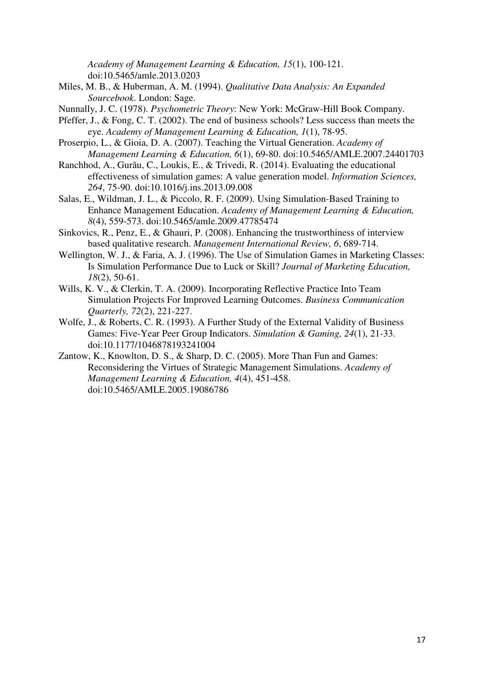*Academy of Management Learning & Education, 15*(1), 100-121. doi:10.5465/amle.2013.0203

Miles, M. B., & Huberman, A. M. (1994). *Qualitative Data Analysis: An Expanded Sourcebook*. London: Sage.

Nunnally, J. C. (1978). *Psychometric Theory*: New York: McGraw-Hill Book Company.

- Pfeffer, J., & Fong, C. T. (2002). The end of business schools? Less success than meets the eye. *Academy of Management Learning & Education, 1*(1), 78-95.
- Proserpio, L., & Gioia, D. A. (2007). Teaching the Virtual Generation. *Academy of Management Learning & Education, 6*(1), 69-80. doi:10.5465/AMLE.2007.24401703
- Ranchhod, A., Gurău, C., Loukis, E., & Trivedi, R. (2014). Evaluating the educational effectiveness of simulation games: A value generation model. *Information Sciences, 264*, 75-90. doi:10.1016/j.ins.2013.09.008
- Salas, E., Wildman, J. L., & Piccolo, R. F. (2009). Using Simulation-Based Training to Enhance Management Education. *Academy of Management Learning & Education, 8*(4), 559-573. doi:10.5465/amle.2009.47785474
- Sinkovics, R., Penz, E., & Ghauri, P. (2008). Enhancing the trustworthiness of interview based qualitative research. *Management International Review, 6*, 689-714.
- Wellington, W. J., & Faria, A. J. (1996). The Use of Simulation Games in Marketing Classes: Is Simulation Performance Due to Luck or Skill? *Journal of Marketing Education, 18*(2), 50-61.
- Wills, K. V., & Clerkin, T. A. (2009). Incorporating Reflective Practice Into Team Simulation Projects For Improved Learning Outcomes. *Business Communication Quarterly, 72*(2), 221-227.
- Wolfe, J., & Roberts, C. R. (1993). A Further Study of the External Validity of Business Games: Five-Year Peer Group Indicators. *Simulation & Gaming, 24*(1), 21-33. doi:10.1177/1046878193241004
- Zantow, K., Knowlton, D. S., & Sharp, D. C. (2005). More Than Fun and Games: Reconsidering the Virtues of Strategic Management Simulations. *Academy of Management Learning & Education, 4*(4), 451-458. doi:10.5465/AMLE.2005.19086786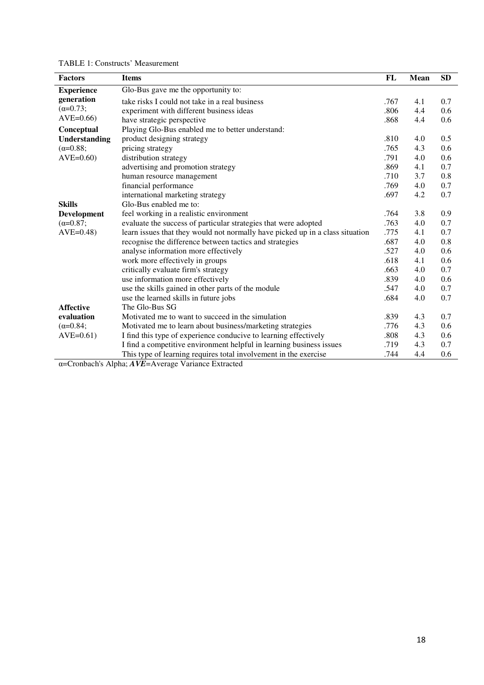| <b>Factors</b>       | <b>Items</b>                                                                  | FL   | Mean | <b>SD</b> |
|----------------------|-------------------------------------------------------------------------------|------|------|-----------|
| <b>Experience</b>    | Glo-Bus gave me the opportunity to:                                           |      |      |           |
| generation           | take risks I could not take in a real business                                | .767 | 4.1  | 0.7       |
| $(\alpha = 0.73)$ ;  | experiment with different business ideas                                      | .806 | 4.4  | 0.6       |
| $AVE=0.66$           | have strategic perspective                                                    | .868 | 4.4  | 0.6       |
| Conceptual           | Playing Glo-Bus enabled me to better understand:                              |      |      |           |
| <b>Understanding</b> | product designing strategy                                                    | .810 | 4.0  | 0.5       |
| $(\alpha = 0.88)$ ;  | pricing strategy                                                              | .765 | 4.3  | 0.6       |
| $AVE=0.60$           | distribution strategy                                                         | .791 | 4.0  | 0.6       |
|                      | advertising and promotion strategy                                            | .869 | 4.1  | 0.7       |
|                      | human resource management                                                     | .710 | 3.7  | 0.8       |
|                      | financial performance                                                         | .769 | 4.0  | 0.7       |
|                      | international marketing strategy                                              | .697 | 4.2  | 0.7       |
| <b>Skills</b>        | Glo-Bus enabled me to:                                                        |      |      |           |
| <b>Development</b>   | feel working in a realistic environment                                       | .764 | 3.8  | 0.9       |
| $(\alpha = 0.87)$ ;  | evaluate the success of particular strategies that were adopted               | .763 | 4.0  | 0.7       |
| $AVE=0.48$           | learn issues that they would not normally have picked up in a class situation | .775 | 4.1  | 0.7       |
|                      | recognise the difference between tactics and strategies                       | .687 | 4.0  | 0.8       |
|                      | analyse information more effectively                                          | .527 | 4.0  | 0.6       |
|                      | work more effectively in groups                                               | .618 | 4.1  | 0.6       |
|                      | critically evaluate firm's strategy                                           | .663 | 4.0  | 0.7       |
|                      | use information more effectively                                              | .839 | 4.0  | 0.6       |
|                      | use the skills gained in other parts of the module                            | .547 | 4.0  | 0.7       |
|                      | use the learned skills in future jobs                                         | .684 | 4.0  | 0.7       |
| <b>Affective</b>     | The Glo-Bus SG                                                                |      |      |           |
| evaluation           | Motivated me to want to succeed in the simulation                             | .839 | 4.3  | 0.7       |
| $(\alpha = 0.84)$ ;  | Motivated me to learn about business/marketing strategies                     | .776 | 4.3  | 0.6       |
| $AVE=0.61)$          | I find this type of experience conducive to learning effectively              | .808 | 4.3  | 0.6       |
|                      | I find a competitive environment helpful in learning business issues          | .719 | 4.3  | 0.7       |
|                      | This type of learning requires total involvement in the exercise              | .744 | 4.4  | 0.6       |

α=Cronbach's Alpha; *AVE*=Average Variance Extracted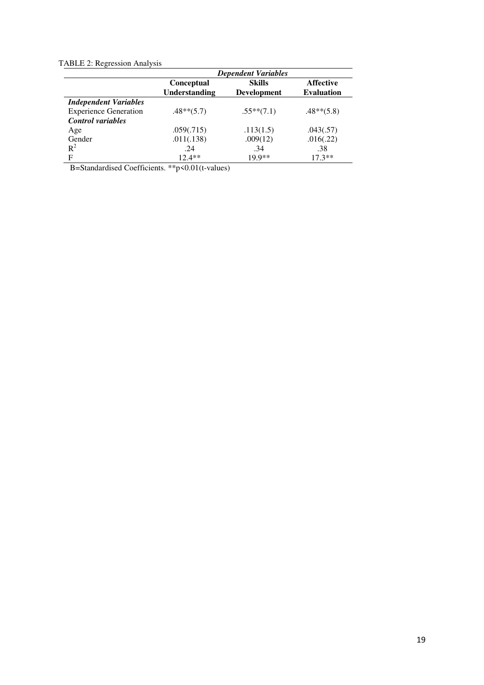## TABLE 2: Regression Analysis

|                              | <b>Dependent Variables</b>                |                                     |                                       |
|------------------------------|-------------------------------------------|-------------------------------------|---------------------------------------|
|                              | <b>Conceptual</b><br><b>Understanding</b> | <b>Skills</b><br><b>Development</b> | <b>Affective</b><br><b>Evaluation</b> |
| <b>Independent Variables</b> |                                           |                                     |                                       |
| <b>Experience Generation</b> | $.48**$ (5.7)                             | $.55***(7.1)$                       | $.48**$ (5.8)                         |
| <b>Control</b> variables     |                                           |                                     |                                       |
| Age                          | .059(.715)                                | .113(1.5)                           | .043(.57)                             |
| Gender                       | .011(.138)                                | .009(12)                            | .016(.22)                             |
| $R^2$                        | .24                                       | .34                                 | .38                                   |
| F                            | $12.4**$                                  | $19.9**$                            | $17.3**$                              |

B=Standardised Coefficients. \*\*p<0.01(t-values)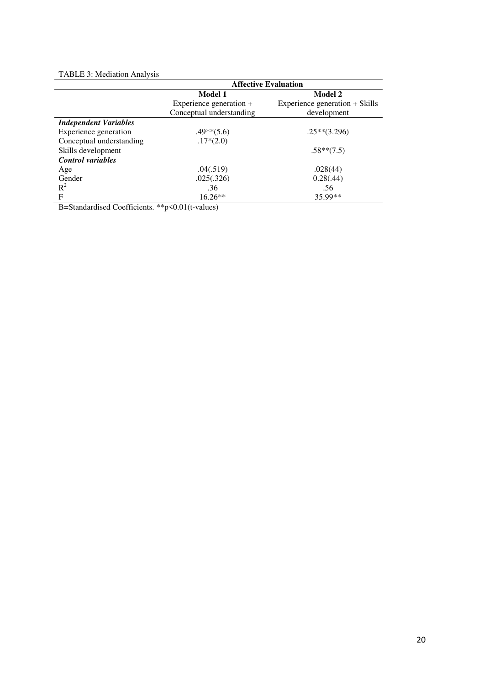#### TABLE 3: Mediation Analysis

|                              | <b>Affective Evaluation</b> |                                |  |
|------------------------------|-----------------------------|--------------------------------|--|
|                              | Model 1                     | Model 2                        |  |
|                              | Experience generation +     | Experience generation + Skills |  |
|                              | Conceptual understanding    | development                    |  |
| <b>Independent Variables</b> |                             |                                |  |
| Experience generation        | $.49**$ (5.6)               | $.25**$ (3.296)                |  |
| Conceptual understanding     | $.17*(2.0)$                 |                                |  |
| Skills development           |                             | $.58**$ (7.5)                  |  |
| <b>Control</b> variables     |                             |                                |  |
| Age                          | .04(.519)                   | .028(44)                       |  |
| Gender                       | .025(.326)                  | 0.28(.44)                      |  |
| $R^2$                        | .36                         | .56                            |  |
| F                            | $16.26**$                   | 35.99**                        |  |

B=Standardised Coefficients. \*\*p<0.01(t-values)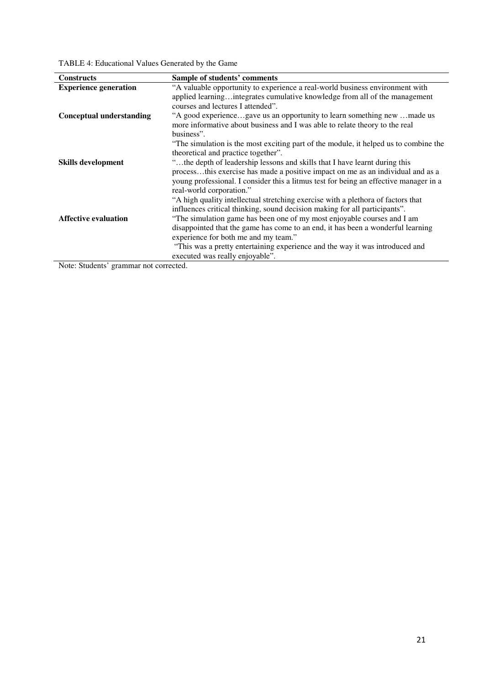TABLE 4: Educational Values Generated by the Game

| <b>Constructs</b>               | Sample of students' comments                                                                                                                               |
|---------------------------------|------------------------------------------------------------------------------------------------------------------------------------------------------------|
| <b>Experience generation</b>    | "A valuable opportunity to experience a real-world business environment with<br>applied learningintegrates cumulative knowledge from all of the management |
|                                 | courses and lectures I attended".                                                                                                                          |
| <b>Conceptual understanding</b> | "A good experiencegave us an opportunity to learn something new made us<br>more informative about business and I was able to relate theory to the real     |
|                                 | business".                                                                                                                                                 |
|                                 | "The simulation is the most exciting part of the module, it helped us to combine the                                                                       |
|                                 | theoretical and practice together".                                                                                                                        |
| <b>Skills development</b>       | "the depth of leadership lessons and skills that I have learnt during this                                                                                 |
|                                 | processthis exercise has made a positive impact on me as an individual and as a                                                                            |
|                                 | young professional. I consider this a litmus test for being an effective manager in a<br>real-world corporation."                                          |
|                                 | "A high quality intellectual stretching exercise with a plethora of factors that                                                                           |
|                                 | influences critical thinking, sound decision making for all participants".                                                                                 |
| <b>Affective evaluation</b>     | "The simulation game has been one of my most enjoyable courses and I am                                                                                    |
|                                 | disappointed that the game has come to an end, it has been a wonderful learning                                                                            |
|                                 | experience for both me and my team."                                                                                                                       |
|                                 | "This was a pretty entertaining experience and the way it was introduced and                                                                               |
|                                 | executed was really enjoyable".                                                                                                                            |

Note: Students' grammar not corrected.